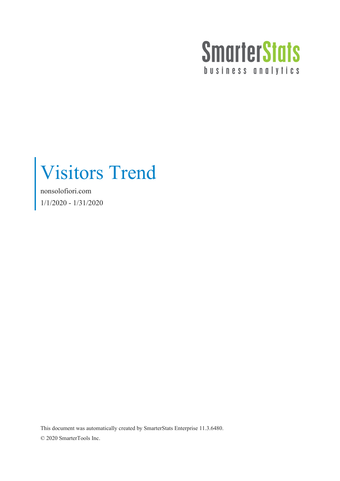

Visitors Trend

nonsolofiori.com 1/1/2020 - 1/31/2020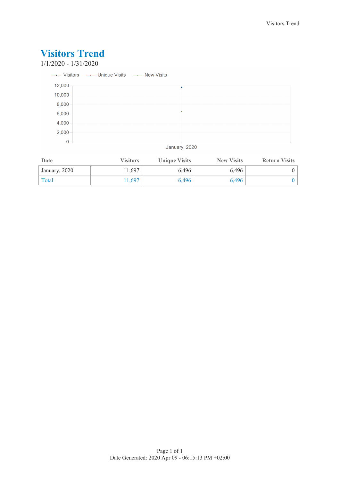1/1/2020 - 1/31/2020

|             | ---- Visitors --- Unique Visits --- New Visits |   |  |
|-------------|------------------------------------------------|---|--|
| 12,000      |                                                | ٠ |  |
| 10,000      |                                                |   |  |
| 8,000       |                                                |   |  |
| 6,000       |                                                |   |  |
| 4,000       |                                                |   |  |
| 2,000       |                                                |   |  |
| $\mathbf 0$ |                                                |   |  |

January, 2020

| Date          | <b>Visitors</b> | <b>Unique Visits</b> | <b>New Visits</b> | <b>Return Visits</b> |
|---------------|-----------------|----------------------|-------------------|----------------------|
| January, 2020 | 11,697          | 6,496                | 6,496             |                      |
| Total         | 1.697           | 6,496                | 6,496             |                      |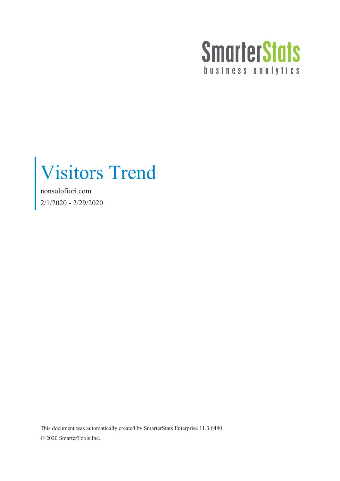

Visitors Trend

nonsolofiori.com 2/1/2020 - 2/29/2020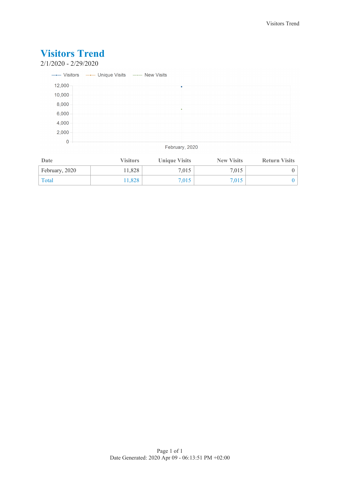2/1/2020 - 2/29/2020

|                | ---- Visitors --- Unique Visits --- New Visits |   |  |
|----------------|------------------------------------------------|---|--|
| 12,000         |                                                | ٠ |  |
| 10,000         |                                                |   |  |
| 8,000          |                                                |   |  |
| 6,000          |                                                |   |  |
| 4,000          |                                                |   |  |
| 2,000          |                                                |   |  |
| $\overline{0}$ |                                                |   |  |

February, 2020

| Date           | <b>Visitors</b> | <b>Unique Visits</b> | <b>New Visits</b> | <b>Return Visits</b> |
|----------------|-----------------|----------------------|-------------------|----------------------|
| February, 2020 | 11.828          | 7,015                | 7.015             |                      |
| Total          | 1.828           | 7,015                | 7,015             |                      |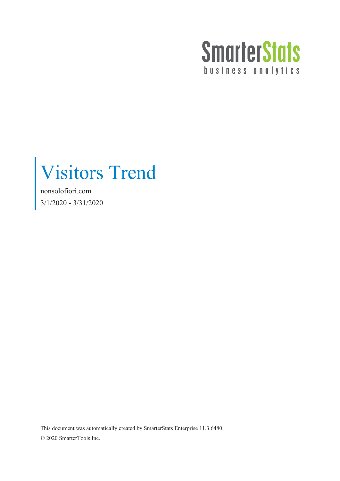

Visitors Trend

nonsolofiori.com 3/1/2020 - 3/31/2020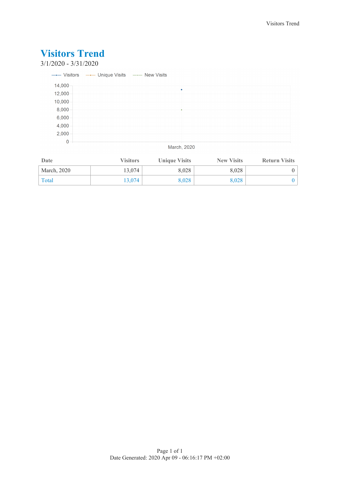3/1/2020 - 3/31/2020

|             | ----- Visitors ---- Unique Visits ---- New Visits |
|-------------|---------------------------------------------------|
| 14,000      |                                                   |
| 12,000      |                                                   |
| 10,000      |                                                   |
| 8,000       |                                                   |
| 6,000       |                                                   |
| 4,000       |                                                   |
| 2,000       |                                                   |
| $\mathbf 0$ |                                                   |

March, 2020

| Date        | <b>Visitors</b> | <b>Unique Visits</b> | <b>New Visits</b> | <b>Return Visits</b> |
|-------------|-----------------|----------------------|-------------------|----------------------|
| March, 2020 | 13.074          | 8,028                | 8.028             |                      |
| Total       | 13.074          | 8,028                | 8.028             |                      |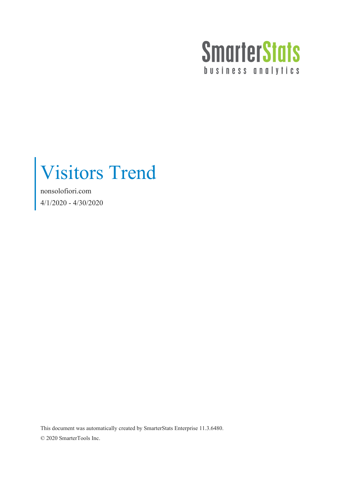

Visitors Trend

nonsolofiori.com 4/1/2020 - 4/30/2020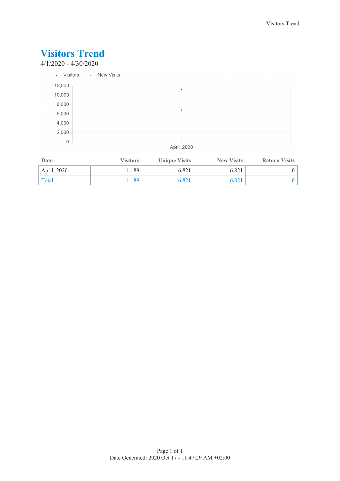4/1/2020 - 4/30/2020



April, 2020

| Date        | <b>Visitors</b> | <b>Unique Visits</b> | <b>New Visits</b> | <b>Return Visits</b> |
|-------------|-----------------|----------------------|-------------------|----------------------|
| April, 2020 | 1,189           | 6,821                | 6.821             |                      |
| Total       | 1.189           | 6,821                | 6.821             |                      |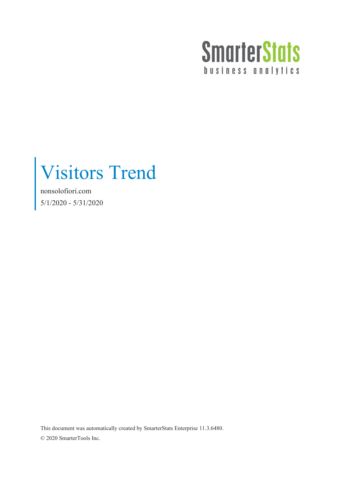

Visitors Trend

nonsolofiori.com 5/1/2020 - 5/31/2020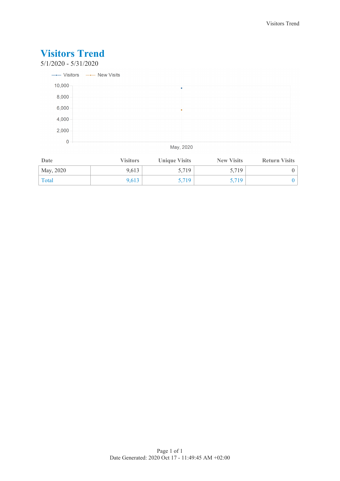

| Date      | <b>Visitors</b> | <b>Unique Visits</b> | <b>New Visits</b> | <b>Return Visits</b> |
|-----------|-----------------|----------------------|-------------------|----------------------|
| May, 2020 | 9.613           | 5,719                | 5,719             |                      |
| Total     | 9.613           | 3,719                | 5,719             |                      |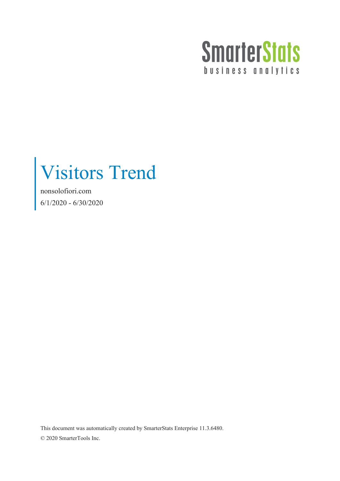

Visitors Trend

nonsolofiori.com 6/1/2020 - 6/30/2020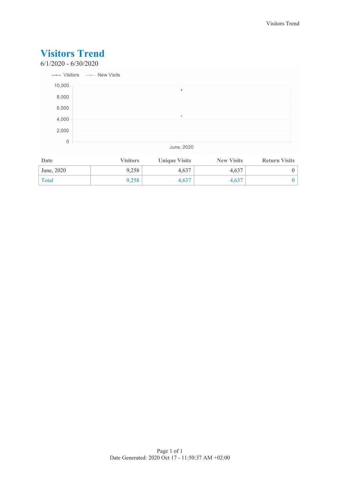

| Date       | <b>Visitors</b> | <b>Unique Visits</b> | <b>New Visits</b> | <b>Return Visits</b> |
|------------|-----------------|----------------------|-------------------|----------------------|
| June, 2020 | 9,258           | 4.637                | 4.637             |                      |
| Total      | 9,258           | 4,637                | 4.637             |                      |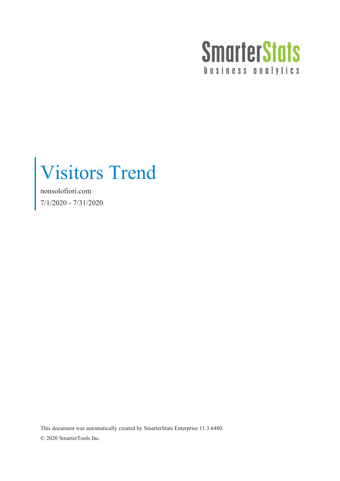

Visitors Trend

nonsolofiori.com 7/1/2020 - 7/31/2020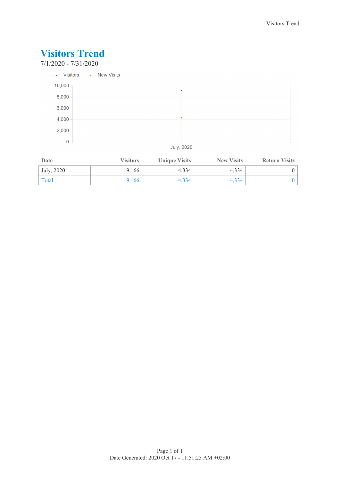

| Date       | <b>Visitors</b> | <b>Unique Visits</b> | <b>New Visits</b> | <b>Return Visits</b> |
|------------|-----------------|----------------------|-------------------|----------------------|
| July, 2020 | 9,166           | 4.334                | 4.334             |                      |
| Total      | 9,166           | 4,334                | 4.334             |                      |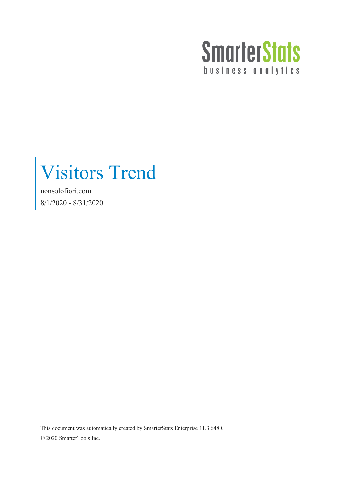

Visitors Trend

nonsolofiori.com 8/1/2020 - 8/31/2020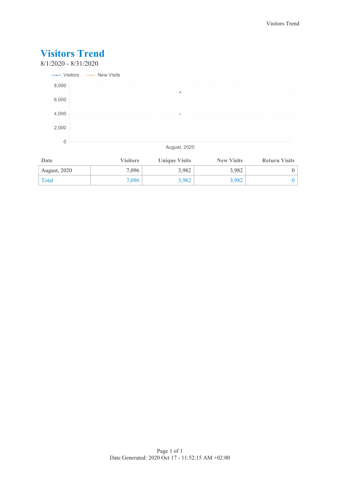

| Date                | <b>Visitors</b> | <b>Unique Visits</b> | <b>New Visits</b> | <b>Return Visits</b> |
|---------------------|-----------------|----------------------|-------------------|----------------------|
| <b>August, 2020</b> | 7,096           | 3,982                | 3,982             |                      |
| Total               | 7,096           | 3,982                | 3,982             |                      |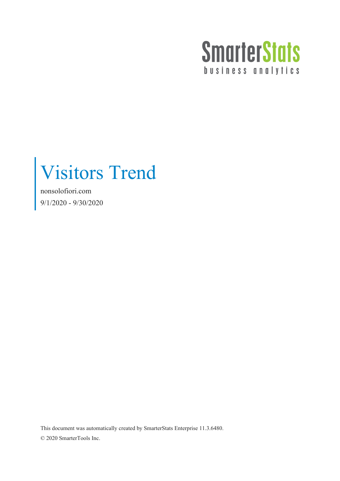

Visitors Trend

nonsolofiori.com 9/1/2020 - 9/30/2020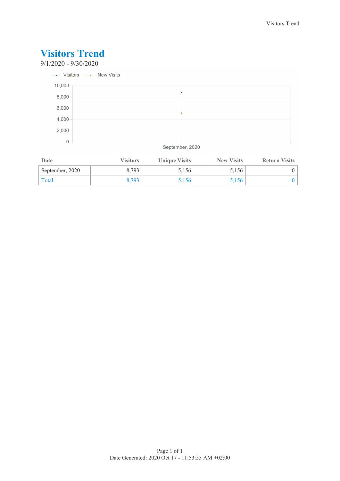9/1/2020 - 9/30/2020



September, 2020

| Date            | <b>Visitors</b> | <b>Unique Visits</b> | <b>New Visits</b> | <b>Return Visits</b> |
|-----------------|-----------------|----------------------|-------------------|----------------------|
| September, 2020 | 8.793           | 5,156                | 5,156             |                      |
| Total           | 8.793           | 5,156                | 5,156             |                      |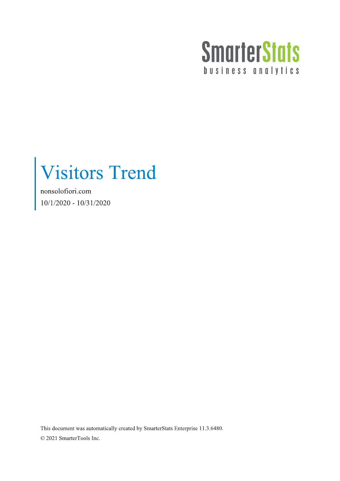

nonsolofiori.com  $10/1/2020 - 10/31/2020$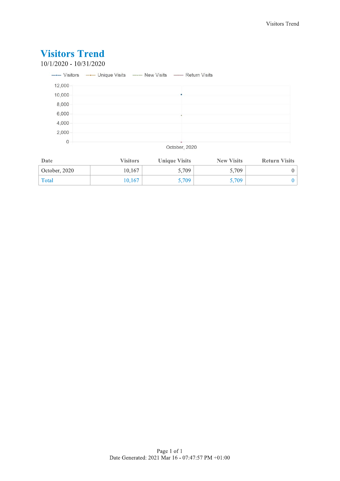#### **Visitors Trend**  $10/1/2020 - 10/31/2020$ ---- Visitors --- Unique Visits --- New Visits --- Return Visits 12,000 10,000 8,000 6,000 4,000 2,000  $\overline{0}$

October, 2020

| Date          | <b>Visitors</b> | <b>Unique Visits</b> | <b>New Visits</b> | <b>Return Visits</b> |
|---------------|-----------------|----------------------|-------------------|----------------------|
| October, 2020 | 10.167          | 5,709                | 5.709             |                      |
| Total         | 10.167          | 5,709                | 5.709             |                      |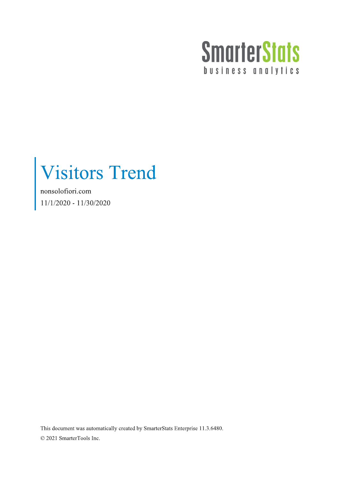

nonsolofiori.com  $11/1/2020 - 11/30/2020$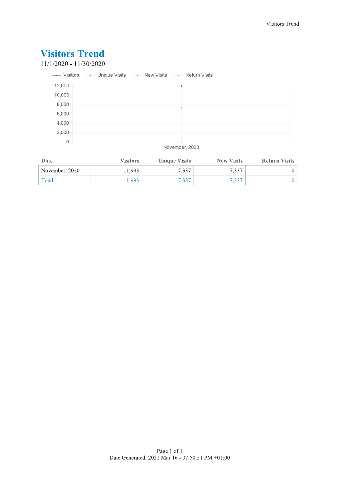$11/1/2020 - 11/30/2020$ 

|              | ---- Visitors ---- Unique Visits ---- New Visits ---- Return Visits                           |
|--------------|-----------------------------------------------------------------------------------------------|
| 12,000       |                                                                                               |
| 10,000       |                                                                                               |
| 8,000        |                                                                                               |
| 6,000        |                                                                                               |
| 4,000        |                                                                                               |
| 2,000        |                                                                                               |
| $\mathbf{0}$ | The country of the product of the Control and Control and Control and Control and Control and |

#### November, 2020

| Date           | <b>Visitors</b> | <b>Unique Visits</b> | <b>New Visits</b> | <b>Return Visits</b> |
|----------------|-----------------|----------------------|-------------------|----------------------|
| November, 2020 | 11.993          | 7,337                | 7.337             |                      |
| Total          | 1.993           | 7.337                |                   |                      |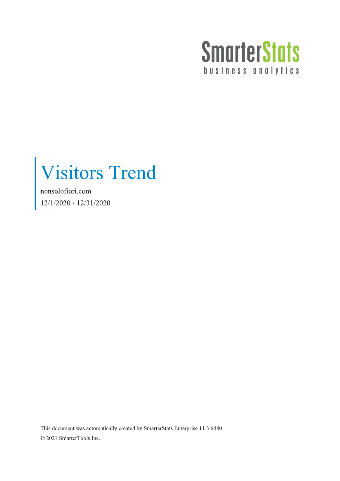

nonsolofiori.com  $12/1/2020 - 12/31/2020$